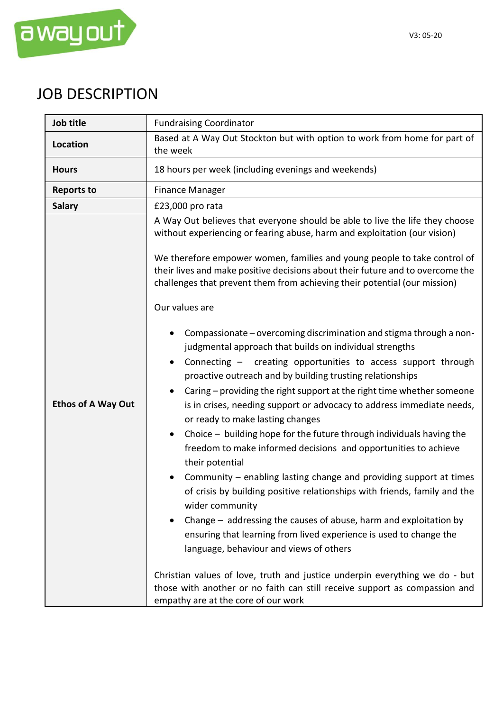

## JOB DESCRIPTION

| Job title                 | <b>Fundraising Coordinator</b>                                                                                                                                                                                                                                                                                                                                                                                                                                                                                                                                                                                                                                                                                                                                                                                                                                                                                                                                                                                                                                                                                                                                                                                                                                                                                                                                                                                                                                                                                                |  |  |
|---------------------------|-------------------------------------------------------------------------------------------------------------------------------------------------------------------------------------------------------------------------------------------------------------------------------------------------------------------------------------------------------------------------------------------------------------------------------------------------------------------------------------------------------------------------------------------------------------------------------------------------------------------------------------------------------------------------------------------------------------------------------------------------------------------------------------------------------------------------------------------------------------------------------------------------------------------------------------------------------------------------------------------------------------------------------------------------------------------------------------------------------------------------------------------------------------------------------------------------------------------------------------------------------------------------------------------------------------------------------------------------------------------------------------------------------------------------------------------------------------------------------------------------------------------------------|--|--|
| Location                  | Based at A Way Out Stockton but with option to work from home for part of<br>the week                                                                                                                                                                                                                                                                                                                                                                                                                                                                                                                                                                                                                                                                                                                                                                                                                                                                                                                                                                                                                                                                                                                                                                                                                                                                                                                                                                                                                                         |  |  |
| <b>Hours</b>              | 18 hours per week (including evenings and weekends)                                                                                                                                                                                                                                                                                                                                                                                                                                                                                                                                                                                                                                                                                                                                                                                                                                                                                                                                                                                                                                                                                                                                                                                                                                                                                                                                                                                                                                                                           |  |  |
| <b>Reports to</b>         | <b>Finance Manager</b>                                                                                                                                                                                                                                                                                                                                                                                                                                                                                                                                                                                                                                                                                                                                                                                                                                                                                                                                                                                                                                                                                                                                                                                                                                                                                                                                                                                                                                                                                                        |  |  |
| <b>Salary</b>             | £23,000 pro rata                                                                                                                                                                                                                                                                                                                                                                                                                                                                                                                                                                                                                                                                                                                                                                                                                                                                                                                                                                                                                                                                                                                                                                                                                                                                                                                                                                                                                                                                                                              |  |  |
| <b>Ethos of A Way Out</b> | A Way Out believes that everyone should be able to live the life they choose<br>without experiencing or fearing abuse, harm and exploitation (our vision)<br>We therefore empower women, families and young people to take control of<br>their lives and make positive decisions about their future and to overcome the<br>challenges that prevent them from achieving their potential (our mission)<br>Our values are<br>Compassionate – overcoming discrimination and stigma through a non-<br>judgmental approach that builds on individual strengths<br>Connecting - creating opportunities to access support through<br>$\bullet$<br>proactive outreach and by building trusting relationships<br>Caring – providing the right support at the right time whether someone<br>$\bullet$<br>is in crises, needing support or advocacy to address immediate needs,<br>or ready to make lasting changes<br>Choice - building hope for the future through individuals having the<br>$\bullet$<br>freedom to make informed decisions and opportunities to achieve<br>their potential<br>Community – enabling lasting change and providing support at times<br>of crisis by building positive relationships with friends, family and the<br>wider community<br>Change – addressing the causes of abuse, harm and exploitation by<br>ensuring that learning from lived experience is used to change the<br>language, behaviour and views of others<br>Christian values of love, truth and justice underpin everything we do - but |  |  |
|                           | those with another or no faith can still receive support as compassion and<br>empathy are at the core of our work                                                                                                                                                                                                                                                                                                                                                                                                                                                                                                                                                                                                                                                                                                                                                                                                                                                                                                                                                                                                                                                                                                                                                                                                                                                                                                                                                                                                             |  |  |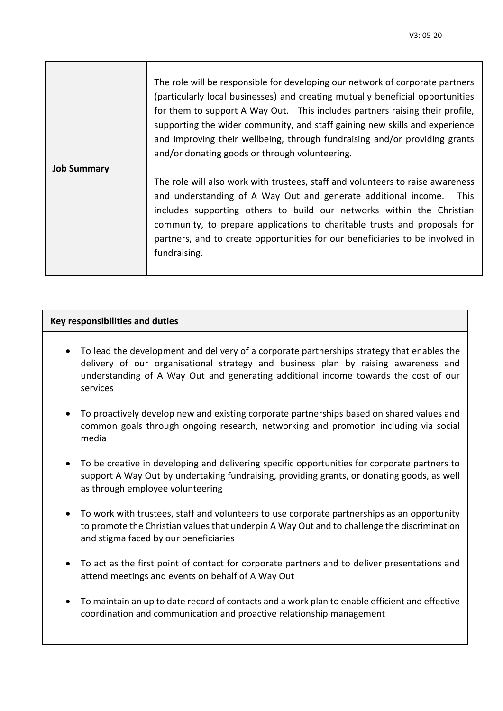|                    | The role will be responsible for developing our network of corporate partners<br>(particularly local businesses) and creating mutually beneficial opportunities<br>for them to support A Way Out. This includes partners raising their profile,<br>supporting the wider community, and staff gaining new skills and experience<br>and improving their wellbeing, through fundraising and/or providing grants<br>and/or donating goods or through volunteering. |
|--------------------|----------------------------------------------------------------------------------------------------------------------------------------------------------------------------------------------------------------------------------------------------------------------------------------------------------------------------------------------------------------------------------------------------------------------------------------------------------------|
| <b>Job Summary</b> | The role will also work with trustees, staff and volunteers to raise awareness<br>and understanding of A Way Out and generate additional income.<br><b>This</b><br>includes supporting others to build our networks within the Christian<br>community, to prepare applications to charitable trusts and proposals for<br>partners, and to create opportunities for our beneficiaries to be involved in<br>fundraising.                                         |

## **Key responsibilities and duties**

- To lead the development and delivery of a corporate partnerships strategy that enables the delivery of our organisational strategy and business plan by raising awareness and understanding of A Way Out and generating additional income towards the cost of our services
- To proactively develop new and existing corporate partnerships based on shared values and common goals through ongoing research, networking and promotion including via social media
- To be creative in developing and delivering specific opportunities for corporate partners to support A Way Out by undertaking fundraising, providing grants, or donating goods, as well as through employee volunteering
- To work with trustees, staff and volunteers to use corporate partnerships as an opportunity to promote the Christian values that underpin A Way Out and to challenge the discrimination and stigma faced by our beneficiaries
- To act as the first point of contact for corporate partners and to deliver presentations and attend meetings and events on behalf of A Way Out
- To maintain an up to date record of contacts and a work plan to enable efficient and effective coordination and communication and proactive relationship management